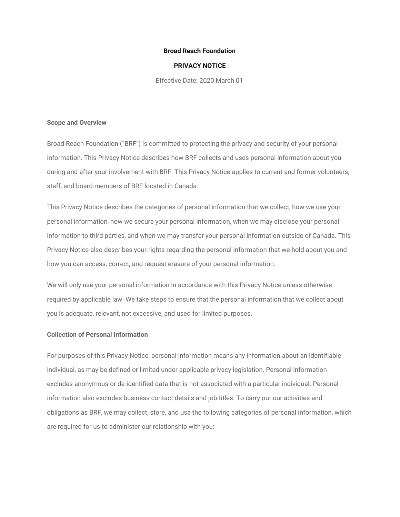### **Broad Reach Foundation**

### **PRIVACY NOTICE**

Effective Date: 2020 March 01

#### **Scope and Overview**

Broad Reach Foundation ("BRF") is committed to protecting the privacy and security of your personal information. This Privacy Notice describes how BRF collects and uses personal information about you during and after your involvement with BRF. This Privacy Notice applies to current and former volunteers, staff, and board members of BRF located in Canada.

This Privacy Notice describes the categories of personal information that we collect, how we use your personal information, how we secure your personal information, when we may disclose your personal information to third parties, and when we may transfer your personal information outside of Canada. This Privacy Notice also describes your rights regarding the personal information that we hold about you and how you can access, correct, and request erasure of your personal information.

We will only use your personal information in accordance with this Privacy Notice unless otherwise required by applicable law. We take steps to ensure that the personal information that we collect about you is adequate, relevant, not excessive, and used for limited purposes.

# **Collection of Personal Information**

For purposes of this Privacy Notice, personal information means any information about an identifiable individual, as may be defined or limited under applicable privacy legislation. Personal information excludes anonymous or de-identified data that is not associated with a particular individual. Personal information also excludes business contact details and job titles. To carry out our activities and obligations as BRF, we may collect, store, and use the following categories of personal information, which are required for us to administer our relationship with you: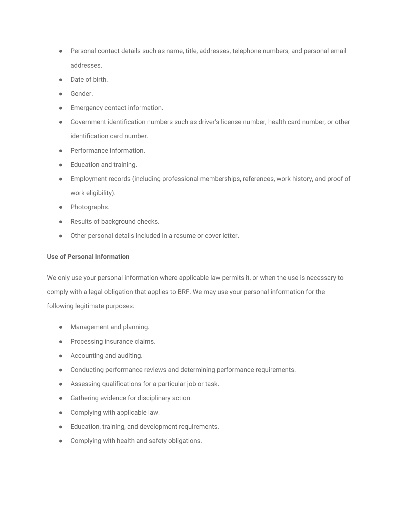- Personal contact details such as name, title, addresses, telephone numbers, and personal email addresses.
- Date of birth.
- Gender.
- Emergency contact information.
- Government identification numbers such as driver's license number, health card number, or other identification card number.
- Performance information.
- Education and training.
- Employment records (including professional memberships, references, work history, and proof of work eligibility).
- Photographs.
- Results of background checks.
- Other personal details included in a resume or cover letter.

# **Use of Personal Information**

We only use your personal information where applicable law permits it, or when the use is necessary to comply with a legal obligation that applies to BRF. We may use your personal information for the following legitimate purposes:

- Management and planning.
- Processing insurance claims.
- Accounting and auditing.
- Conducting performance reviews and determining performance requirements.
- Assessing qualifications for a particular job or task.
- Gathering evidence for disciplinary action.
- Complying with applicable law.
- Education, training, and development requirements.
- Complying with health and safety obligations.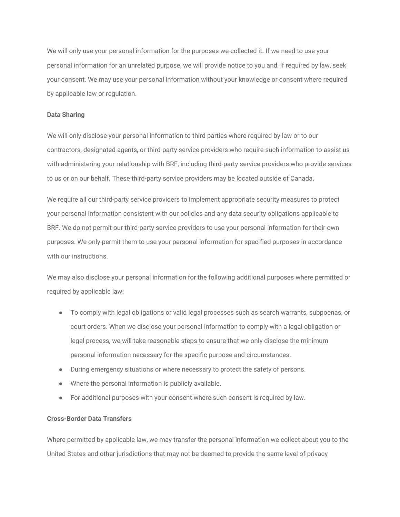We will only use your personal information for the purposes we collected it. If we need to use your personal information for an unrelated purpose, we will provide notice to you and, if required by law, seek your consent. We may use your personal information without your knowledge or consent where required by applicable law or regulation.

# **Data Sharing**

We will only disclose your personal information to third parties where required by law or to our contractors, designated agents, or third-party service providers who require such information to assist us with administering your relationship with BRF, including third-party service providers who provide services to us or on our behalf. These third-party service providers may be located outside of Canada.

We require all our third-party service providers to implement appropriate security measures to protect your personal information consistent with our policies and any data security obligations applicable to BRF. We do not permit our third-party service providers to use your personal information for their own purposes. We only permit them to use your personal information for specified purposes in accordance with our instructions.

We may also disclose your personal information for the following additional purposes where permitted or required by applicable law:

- To comply with legal obligations or valid legal processes such as search warrants, subpoenas, or court orders. When we disclose your personal information to comply with a legal obligation or legal process, we will take reasonable steps to ensure that we only disclose the minimum personal information necessary for the specific purpose and circumstances.
- During emergency situations or where necessary to protect the safety of persons.
- Where the personal information is publicly available.
- For additional purposes with your consent where such consent is required by law.

### **Cross-Border Data Transfers**

Where permitted by applicable law, we may transfer the personal information we collect about you to the United States and other jurisdictions that may not be deemed to provide the same level of privacy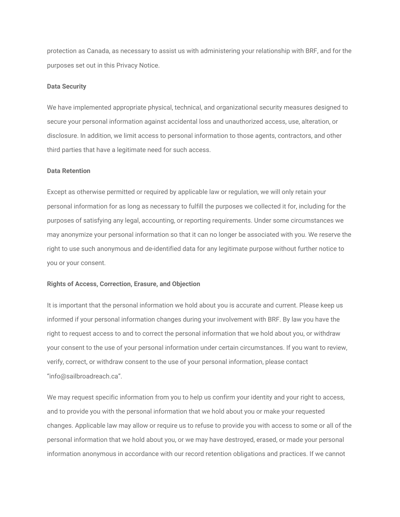protection as Canada, as necessary to assist us with administering your relationship with BRF, and for the purposes set out in this Privacy Notice.

#### **Data Security**

We have implemented appropriate physical, technical, and organizational security measures designed to secure your personal information against accidental loss and unauthorized access, use, alteration, or disclosure. In addition, we limit access to personal information to those agents, contractors, and other third parties that have a legitimate need for such access.

#### **Data Retention**

Except as otherwise permitted or required by applicable law or regulation, we will only retain your personal information for as long as necessary to fulfill the purposes we collected it for, including for the purposes of satisfying any legal, accounting, or reporting requirements. Under some circumstances we may anonymize your personal information so that it can no longer be associated with you. We reserve the right to use such anonymous and de-identified data for any legitimate purpose without further notice to you or your consent.

#### **Rights of Access, Correction, Erasure, and Objection**

It is important that the personal information we hold about you is accurate and current. Please keep us informed if your personal information changes during your involvement with BRF. By law you have the right to request access to and to correct the personal information that we hold about you, or withdraw your consent to the use of your personal information under certain circumstances. If you want to review, verify, correct, or withdraw consent to the use of your personal information, please contact "info@sailbroadreach.ca".

We may request specific information from you to help us confirm your identity and your right to access, and to provide you with the personal information that we hold about you or make your requested changes. Applicable law may allow or require us to refuse to provide you with access to some or all of the personal information that we hold about you, or we may have destroyed, erased, or made your personal information anonymous in accordance with our record retention obligations and practices. If we cannot